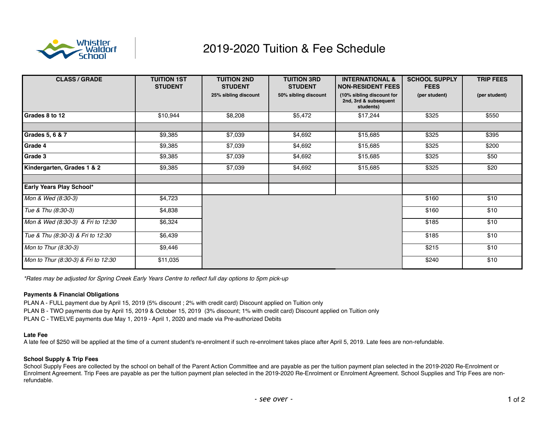

# 2019-2020 Tuition & Fee Schedule

| <b>CLASS / GRADE</b>                | <b>TUITION 1ST</b><br><b>STUDENT</b> | <b>TUITION 2ND</b><br><b>STUDENT</b> | <b>TUITION 3RD</b><br><b>STUDENT</b> | <b>INTERNATIONAL &amp;</b><br><b>NON-RESIDENT FEES</b>          | <b>SCHOOL SUPPLY</b><br><b>FEES</b> | <b>TRIP FEES</b> |
|-------------------------------------|--------------------------------------|--------------------------------------|--------------------------------------|-----------------------------------------------------------------|-------------------------------------|------------------|
|                                     |                                      | 25% sibling discount                 | 50% sibling discount                 | (10% sibling discount for<br>2nd, 3rd & subsequent<br>students) | (per student)                       | (per student)    |
| Grades 8 to 12                      | \$10,944                             | \$8,208                              | \$5,472                              | \$17,244                                                        | \$325                               | \$550            |
|                                     |                                      |                                      |                                      |                                                                 |                                     |                  |
| Grades 5, 6 & 7                     | \$9,385                              | \$7,039                              | \$4,692                              | \$15,685                                                        | \$325                               | \$395            |
| Grade 4                             | \$9,385                              | \$7,039                              | \$4,692                              | \$15,685                                                        | \$325                               | \$200            |
| Grade 3                             | \$9,385                              | \$7,039                              | \$4,692                              | \$15,685                                                        | \$325                               | \$50             |
| Kindergarten, Grades 1 & 2          | \$9,385                              | \$7,039                              | \$4,692                              | \$15,685                                                        | \$325                               | \$20             |
|                                     |                                      |                                      |                                      |                                                                 |                                     |                  |
| Early Years Play School*            |                                      |                                      |                                      |                                                                 |                                     |                  |
| Mon & Wed (8:30-3)                  | \$4,723                              |                                      |                                      |                                                                 | \$160                               | \$10             |
| Tue & Thu (8:30-3)                  | \$4,838                              |                                      |                                      |                                                                 | \$160                               | \$10             |
| Mon & Wed (8:30-3) & Fri to 12:30   | \$6,324                              |                                      |                                      |                                                                 | \$185                               | \$10             |
| Tue & Thu (8:30-3) & Fri to 12:30   | \$6,439                              |                                      |                                      |                                                                 | \$185                               | \$10             |
| Mon to Thur (8:30-3)                | \$9,446                              |                                      |                                      |                                                                 | \$215                               | \$10             |
| Mon to Thur (8:30-3) & Fri to 12:30 | \$11,035                             |                                      |                                      |                                                                 | \$240                               | \$10             |

*\*Rates may be adjusted for Spring Creek Early Years Centre to reflect full day options to 5pm pick-up*

## **Payments & Financial Obligations**

PLAN A - FULL payment due by April 15, 2019 (5% discount ; 2% with credit card) Discount applied on Tuition only PLAN B - TWO payments due by April 15, 2019 & October 15, 2019 (3% discount; 1% with credit card) Discount applied on Tuition only PLAN C - TWELVE payments due May 1, 2019 - April 1, 2020 and made via Pre-authorized Debits

### **Late Fee**

A late fee of \$250 will be applied at the time of a current student's re-enrolment if such re-enrolment takes place after April 5, 2019. Late fees are non-refundable.

## **School Supply & Trip Fees**

School Supply Fees are collected by the school on behalf of the Parent Action Committee and are payable as per the tuition payment plan selected in the 2019-2020 Re-Enrolment or Enrolment Agreement. Trip Fees are payable as per the tuition payment plan selected in the 2019-2020 Re-Enrolment or Enrolment Agreement. School Supplies and Trip Fees are nonrefundable.